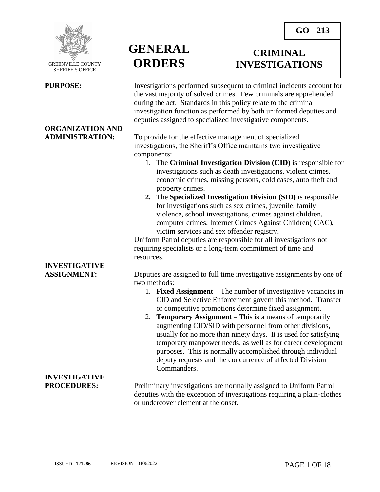

 GREENVILLE COUNTY SHERIFF'S OFFICE

 $\overline{a}$ 

# **ORGANIZATION AND**



### **CRIMINAL INVESTIGATIONS**

**PURPOSE:** Investigations performed subsequent to criminal incidents account for the vast majority of solved crimes. Few criminals are apprehended during the act. Standards in this policy relate to the criminal investigation function as performed by both uniformed deputies and deputies assigned to specialized investigative components.

**ADMINISTRATION:** To provide for the effective management of specialized investigations, the Sheriff's Office maintains two investigative components:

- 1. The **Criminal Investigation Division (CID)** is responsible for investigations such as death investigations, violent crimes, economic crimes, missing persons, cold cases, auto theft and property crimes.
- **2.** The **Specialized Investigation Division (SID)** is responsible for investigations such as sex crimes, juvenile, family violence, school investigations, crimes against children, computer crimes, Internet Crimes Against Children(ICAC), victim services and sex offender registry.

Uniform Patrol deputies are responsible for all investigations not requiring specialists or a long-term commitment of time and resources.

**ASSIGNMENT:** Deputies are assigned to full time investigative assignments by one of two methods:

- 1. **Fixed Assignment** The number of investigative vacancies in CID and Selective Enforcement govern this method. Transfer or competitive promotions determine fixed assignment.
- 2. **Temporary Assignment** This is a means of temporarily augmenting CID/SID with personnel from other divisions, usually for no more than ninety days. It is used for satisfying temporary manpower needs, as well as for career development purposes. This is normally accomplished through individual deputy requests and the concurrence of affected Division Commanders.

**PROCEDURES:** Preliminary investigations are normally assigned to Uniform Patrol deputies with the exception of investigations requiring a plain-clothes or undercover element at the onset.

# **INVESTIGATIVE**

# **INVESTIGATIVE**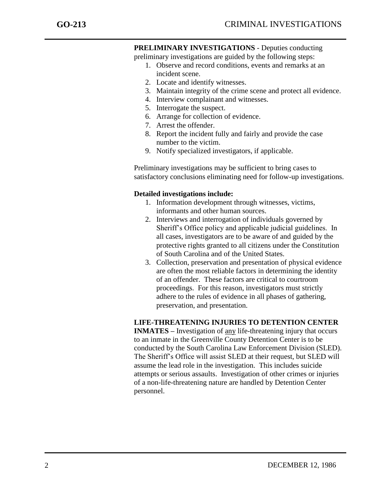**PRELIMINARY INVESTIGATIONS** - Deputies conducting

preliminary investigations are guided by the following steps:

- 1. Observe and record conditions, events and remarks at an incident scene.
- 2. Locate and identify witnesses.
- 3. Maintain integrity of the crime scene and protect all evidence.
- 4. Interview complainant and witnesses.
- 5. Interrogate the suspect.
- 6. Arrange for collection of evidence.
- 7. Arrest the offender.
- 8. Report the incident fully and fairly and provide the case number to the victim.
- 9. Notify specialized investigators, if applicable.

Preliminary investigations may be sufficient to bring cases to satisfactory conclusions eliminating need for follow-up investigations.

#### **Detailed investigations include:**

- 1. Information development through witnesses, victims, informants and other human sources.
- 2. Interviews and interrogation of individuals governed by Sheriff's Office policy and applicable judicial guidelines. In all cases, investigators are to be aware of and guided by the protective rights granted to all citizens under the Constitution of South Carolina and of the United States.
- 3. Collection, preservation and presentation of physical evidence are often the most reliable factors in determining the identity of an offender. These factors are critical to courtroom proceedings. For this reason, investigators must strictly adhere to the rules of evidence in all phases of gathering, preservation, and presentation.

#### **LIFE-THREATENING INJURIES TO DETENTION CENTER**

**INMATES –** Investigation of any life-threatening injury that occurs to an inmate in the Greenville County Detention Center is to be conducted by the South Carolina Law Enforcement Division (SLED). The Sheriff's Office will assist SLED at their request, but SLED will assume the lead role in the investigation. This includes suicide attempts or serious assaults. Investigation of other crimes or injuries of a non-life-threatening nature are handled by Detention Center personnel.

j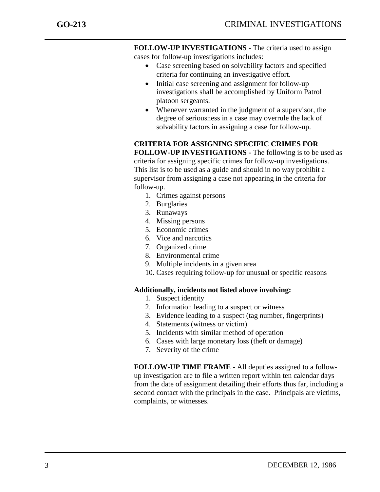**FOLLOW-UP INVESTIGATIONS -** The criteria used to assign cases for follow-up investigations includes:

- Case screening based on solvability factors and specified criteria for continuing an investigative effort.
- Initial case screening and assignment for follow-up investigations shall be accomplished by Uniform Patrol platoon sergeants.
- Whenever warranted in the judgment of a supervisor, the degree of seriousness in a case may overrule the lack of solvability factors in assigning a case for follow-up.

**CRITERIA FOR ASSIGNING SPECIFIC CRIMES FOR FOLLOW-UP INVESTIGATIONS -** The following is to be used as criteria for assigning specific crimes for follow-up investigations. This list is to be used as a guide and should in no way prohibit a supervisor from assigning a case not appearing in the criteria for follow-up.

- 1. Crimes against persons
- 2. Burglaries
- 3. Runaways
- 4. Missing persons
- 5. Economic crimes
- 6. Vice and narcotics
- 7. Organized crime
- 8. Environmental crime
- 9. Multiple incidents in a given area
- 10. Cases requiring follow-up for unusual or specific reasons

#### **Additionally, incidents not listed above involving:**

- 1. Suspect identity
- 2. Information leading to a suspect or witness
- 3. Evidence leading to a suspect (tag number, fingerprints)
- 4. Statements (witness or victim)
- 5. Incidents with similar method of operation
- 6. Cases with large monetary loss (theft or damage)
- 7. Severity of the crime

**FOLLOW-UP TIME FRAME** - All deputies assigned to a followup investigation are to file a written report within ten calendar days from the date of assignment detailing their efforts thus far, including a second contact with the principals in the case. Principals are victims, complaints, or witnesses.

j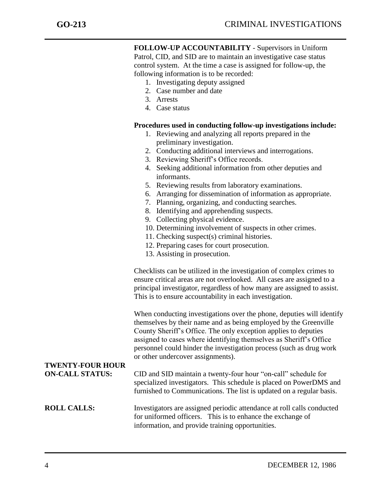**FOLLOW-UP ACCOUNTABILITY** - Supervisors in Uniform Patrol, CID, and SID are to maintain an investigative case status control system. At the time a case is assigned for follow-up, the following information is to be recorded:

- 1. Investigating deputy assigned
- 2. Case number and date
- 3. Arrests
- 4. Case status

#### **Procedures used in conducting follow-up investigations include:**

- 1. Reviewing and analyzing all reports prepared in the preliminary investigation.
- 2. Conducting additional interviews and interrogations.
- 3. Reviewing Sheriff's Office records.
- 4. Seeking additional information from other deputies and informants.
- 5. Reviewing results from laboratory examinations.
- 6. Arranging for dissemination of information as appropriate.
- 7. Planning, organizing, and conducting searches.
- 8. Identifying and apprehending suspects.
- 9. Collecting physical evidence.
- 10. Determining involvement of suspects in other crimes.
- 11. Checking suspect(s) criminal histories.
- 12. Preparing cases for court prosecution.
- 13. Assisting in prosecution.

Checklists can be utilized in the investigation of complex crimes to ensure critical areas are not overlooked. All cases are assigned to a principal investigator, regardless of how many are assigned to assist. This is to ensure accountability in each investigation.

When conducting investigations over the phone, deputies will identify themselves by their name and as being employed by the Greenville County Sheriff's Office. The only exception applies to deputies assigned to cases where identifying themselves as Sheriff's Office personnel could hinder the investigation process (such as drug work or other undercover assignments).

## **TWENTY-FOUR HOUR**

**ON-CALL STATUS:** CID and SID maintain a twenty-four hour "on-call" schedule for specialized investigators. This schedule is placed on PowerDMS and furnished to Communications. The list is updated on a regular basis.

#### **ROLL CALLS:** Investigators are assigned periodic attendance at roll calls conducted for uniformed officers. This is to enhance the exchange of information, and provide training opportunities.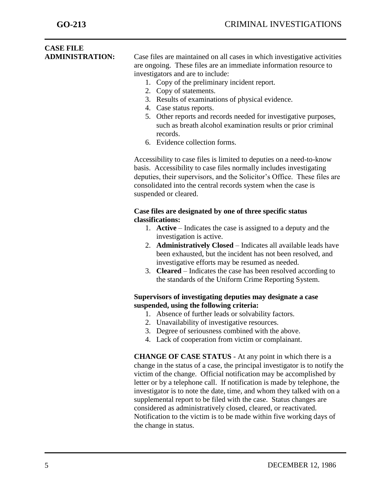### **CASE FILE ADMINISTRATION:** Case files are maintained on all cases in which investigative activities

are ongoing. These files are an immediate information resource to investigators and are to include:

- 1. Copy of the preliminary incident report.
- 2. Copy of statements.
- 3. Results of examinations of physical evidence.
- 4. Case status reports.
- 5. Other reports and records needed for investigative purposes, such as breath alcohol examination results or prior criminal records.
- 6. Evidence collection forms.

Accessibility to case files is limited to deputies on a need-to-know basis. Accessibility to case files normally includes investigating deputies, their supervisors, and the Solicitor's Office. These files are consolidated into the central records system when the case is suspended or cleared.

#### **Case files are designated by one of three specific status classifications:**

- 1. **Active** Indicates the case is assigned to a deputy and the investigation is active.
- 2. **Administratively Closed** Indicates all available leads have been exhausted, but the incident has not been resolved, and investigative efforts may be resumed as needed.
- 3. **Cleared** Indicates the case has been resolved according to the standards of the Uniform Crime Reporting System.

#### **Supervisors of investigating deputies may designate a case suspended, using the following criteria:**

- 1. Absence of further leads or solvability factors.
- 2. Unavailability of investigative resources.
- 3. Degree of seriousness combined with the above.
- 4. Lack of cooperation from victim or complainant.

**CHANGE OF CASE STATUS** - At any point in which there is a change in the status of a case, the principal investigator is to notify the victim of the change. Official notification may be accomplished by letter or by a telephone call. If notification is made by telephone, the investigator is to note the date, time, and whom they talked with on a supplemental report to be filed with the case. Status changes are considered as administratively closed, cleared, or reactivated. Notification to the victim is to be made within five working days of the change in status.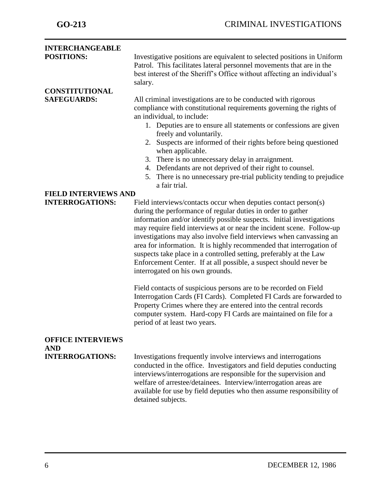| <b>INTERCHANGEABLE</b>               |                                                                                                                                                                                                                                                                                                                                                                                                                                                                                                                                                                                                                                                                                    |
|--------------------------------------|------------------------------------------------------------------------------------------------------------------------------------------------------------------------------------------------------------------------------------------------------------------------------------------------------------------------------------------------------------------------------------------------------------------------------------------------------------------------------------------------------------------------------------------------------------------------------------------------------------------------------------------------------------------------------------|
| <b>POSITIONS:</b>                    | Investigative positions are equivalent to selected positions in Uniform<br>Patrol. This facilitates lateral personnel movements that are in the<br>best interest of the Sheriff's Office without affecting an individual's<br>salary.                                                                                                                                                                                                                                                                                                                                                                                                                                              |
| <b>CONSTITUTIONAL</b>                |                                                                                                                                                                                                                                                                                                                                                                                                                                                                                                                                                                                                                                                                                    |
| <b>SAFEGUARDS:</b>                   | All criminal investigations are to be conducted with rigorous<br>compliance with constitutional requirements governing the rights of<br>an individual, to include:<br>1. Deputies are to ensure all statements or confessions are given<br>freely and voluntarily.<br>2. Suspects are informed of their rights before being questioned<br>when applicable.<br>3. There is no unnecessary delay in arraignment.<br>4. Defendants are not deprived of their right to counsel.<br>There is no unnecessary pre-trial publicity tending to prejudice<br>5.<br>a fair trial.                                                                                                             |
| <b>FIELD INTERVIEWS AND</b>          |                                                                                                                                                                                                                                                                                                                                                                                                                                                                                                                                                                                                                                                                                    |
| <b>INTERROGATIONS:</b>               | Field interviews/contacts occur when deputies contact person(s)<br>during the performance of regular duties in order to gather<br>information and/or identify possible suspects. Initial investigations<br>may require field interviews at or near the incident scene. Follow-up<br>investigations may also involve field interviews when canvassing an<br>area for information. It is highly recommended that interrogation of<br>suspects take place in a controlled setting, preferably at the Law<br>Enforcement Center. If at all possible, a suspect should never be<br>interrogated on his own grounds.<br>Field contacts of suspicious persons are to be recorded on Field |
|                                      | Interrogation Cards (FI Cards). Completed FI Cards are forwarded to<br>Property Crimes where they are entered into the central records<br>computer system. Hard-copy FI Cards are maintained on file for a<br>period of at least two years.                                                                                                                                                                                                                                                                                                                                                                                                                                        |
| <b>OFFICE INTERVIEWS</b>             |                                                                                                                                                                                                                                                                                                                                                                                                                                                                                                                                                                                                                                                                                    |
| <b>AND</b><br><b>INTERROGATIONS:</b> | Investigations frequently involve interviews and interrogations<br>conducted in the office. Investigators and field deputies conducting<br>interviews/interrogations are responsible for the supervision and<br>welfare of arrestee/detainees. Interview/interrogation areas are<br>available for use by field deputies who then assume responsibility of<br>detained subjects.                                                                                                                                                                                                                                                                                                    |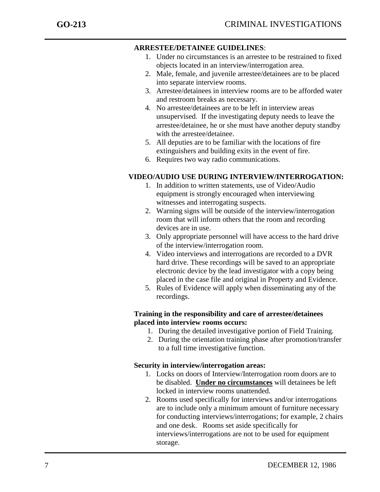#### **ARRESTEE/DETAINEE GUIDELINES**:

- 1. Under no circumstances is an arrestee to be restrained to fixed objects located in an interview/interrogation area.
- 2. Male, female, and juvenile arrestee/detainees are to be placed into separate interview rooms.
- 3. Arrestee/detainees in interview rooms are to be afforded water and restroom breaks as necessary.
- 4. No arrestee/detainees are to be left in interview areas unsupervised. If the investigating deputy needs to leave the arrestee/detainee, he or she must have another deputy standby with the arrestee/detainee.
- 5. All deputies are to be familiar with the locations of fire extinguishers and building exits in the event of fire.
- 6. Requires two way radio communications.

### **VIDEO/AUDIO USE DURING INTERVIEW/INTERROGATION:**

- 1. In addition to written statements, use of Video/Audio equipment is strongly encouraged when interviewing witnesses and interrogating suspects.
- 2. Warning signs will be outside of the interview/interrogation room that will inform others that the room and recording devices are in use.
- 3. Only appropriate personnel will have access to the hard drive of the interview/interrogation room.
- 4. Video interviews and interrogations are recorded to a DVR hard drive. These recordings will be saved to an appropriate electronic device by the lead investigator with a copy being placed in the case file and original in Property and Evidence.
- 5. Rules of Evidence will apply when disseminating any of the recordings.

#### **Training in the responsibility and care of arrestee/detainees placed into interview rooms occurs:**

- 1. During the detailed investigative portion of Field Training.
- 2. During the orientation training phase after promotion/transfer to a full time investigative function.

#### **Security in interview/interrogation areas:**

- 1. Locks on doors of Interview/Interrogation room doors are to be disabled. **Under no circumstances** will detainees be left locked in interview rooms unattended.
- 2. Rooms used specifically for interviews and/or interrogations are to include only a minimum amount of furniture necessary for conducting interviews/interrogations; for example, 2 chairs and one desk. Rooms set aside specifically for interviews/interrogations are not to be used for equipment storage.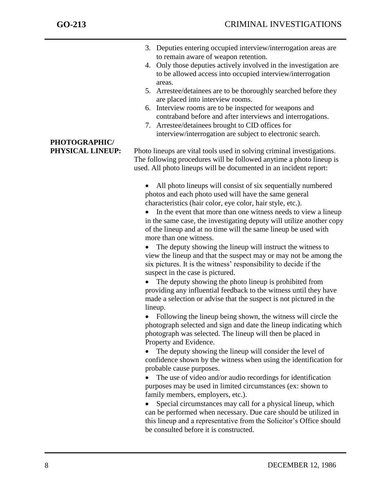- 3. Deputies entering occupied interview/interrogation areas are to remain aware of weapon retention.
- 4. Only those deputies actively involved in the investigation are to be allowed access into occupied interview/interrogation areas.
- 5. Arrestee/detainees are to be thoroughly searched before they are placed into interview rooms.
- 6. Interview rooms are to be inspected for weapons and contraband before and after interviews and interrogations.
- 7. Arrestee/detainees brought to CID offices for interview/interrogation are subject to electronic search.

**PHYSICAL LINEUP:** Photo lineups are vital tools used in solving criminal investigations. The following procedures will be followed anytime a photo lineup is used. All photo lineups will be documented in an incident report:

- All photo lineups will consist of six sequentially numbered photos and each photo used will have the same general characteristics (hair color, eye color, hair style, etc.).
- In the event that more than one witness needs to view a lineup in the same case, the investigating deputy will utilize another copy of the lineup and at no time will the same lineup be used with more than one witness.
- The deputy showing the lineup will instruct the witness to view the lineup and that the suspect may or may not be among the six pictures. It is the witness' responsibility to decide if the suspect in the case is pictured.
- The deputy showing the photo lineup is prohibited from providing any influential feedback to the witness until they have made a selection or advise that the suspect is not pictured in the lineup.
- Following the lineup being shown, the witness will circle the photograph selected and sign and date the lineup indicating which photograph was selected. The lineup will then be placed in Property and Evidence.
- The deputy showing the lineup will consider the level of confidence shown by the witness when using the identification for probable cause purposes.
- The use of video and/or audio recordings for identification purposes may be used in limited circumstances (ex: shown to family members, employers, etc.).
- Special circumstances may call for a physical lineup, which can be performed when necessary. Due care should be utilized in this lineup and a representative from the Solicitor's Office should be consulted before it is constructed.

# **PHOTOGRAPHIC/**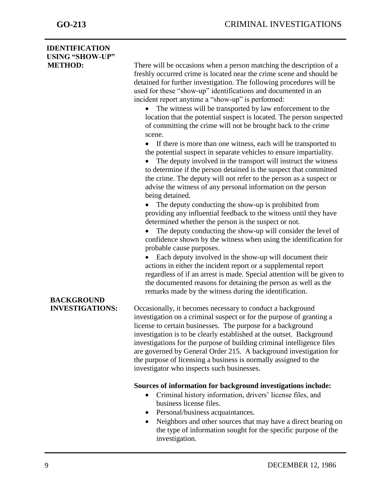### **IDENTIFICATION USING "SHOW-UP"**

**METHOD:** There will be occasions when a person matching the description of a freshly occurred crime is located near the crime scene and should be detained for further investigation. The following procedures will be used for these "show-up" identifications and documented in an incident report anytime a "show-up" is performed:

- The witness will be transported by law enforcement to the location that the potential suspect is located. The person suspected of committing the crime will not be brought back to the crime scene.
- If there is more than one witness, each will be transported to the potential suspect in separate vehicles to ensure impartiality.
- The deputy involved in the transport will instruct the witness to determine if the person detained is the suspect that committed the crime. The deputy will not refer to the person as a suspect or advise the witness of any personal information on the person being detained.

• The deputy conducting the show-up is prohibited from providing any influential feedback to the witness until they have determined whether the person is the suspect or not.

• The deputy conducting the show-up will consider the level of confidence shown by the witness when using the identification for probable cause purposes.

 Each deputy involved in the show-up will document their actions in either the incident report or a supplemental report regardless of if an arrest is made. Special attention will be given to the documented reasons for detaining the person as well as the remarks made by the witness during the identification.

**INVESTIGATIONS:** Occasionally, it becomes necessary to conduct a background investigation on a criminal suspect or for the purpose of granting a license to certain businesses. The purpose for a background investigation is to be clearly established at the outset. Background investigations for the purpose of building criminal intelligence files are governed by General Order 215. A background investigation for the purpose of licensing a business is normally assigned to the investigator who inspects such businesses.

#### **Sources of information for background investigations include:**

- Criminal history information, drivers' license files, and business license files.
- Personal/business acquaintances.
- Neighbors and other sources that may have a direct bearing on the type of information sought for the specific purpose of the investigation.

# **BACKGROUND**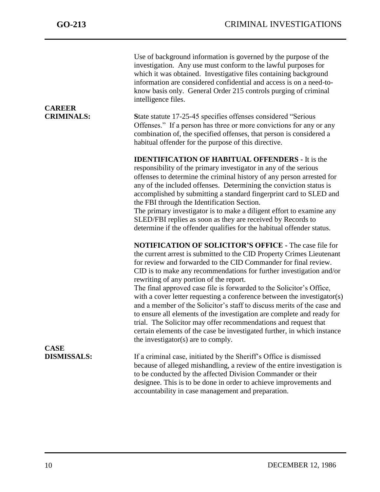| <b>CAREER</b><br><b>CRIMINALS:</b> | Use of background information is governed by the purpose of the<br>investigation. Any use must conform to the lawful purposes for<br>which it was obtained. Investigative files containing background<br>information are considered confidential and access is on a need-to-<br>know basis only. General Order 215 controls purging of criminal<br>intelligence files.<br>State statute 17-25-45 specifies offenses considered "Serious<br>Offenses." If a person has three or more convictions for any or any<br>combination of, the specified offenses, that person is considered a<br>habitual offender for the purpose of this directive.                                                                                                                                                                           |
|------------------------------------|-------------------------------------------------------------------------------------------------------------------------------------------------------------------------------------------------------------------------------------------------------------------------------------------------------------------------------------------------------------------------------------------------------------------------------------------------------------------------------------------------------------------------------------------------------------------------------------------------------------------------------------------------------------------------------------------------------------------------------------------------------------------------------------------------------------------------|
|                                    | <b>IDENTIFICATION OF HABITUAL OFFENDERS - It is the</b><br>responsibility of the primary investigator in any of the serious<br>offenses to determine the criminal history of any person arrested for<br>any of the included offenses. Determining the conviction status is<br>accomplished by submitting a standard fingerprint card to SLED and<br>the FBI through the Identification Section.<br>The primary investigator is to make a diligent effort to examine any<br>SLED/FBI replies as soon as they are received by Records to<br>determine if the offender qualifies for the habitual offender status.                                                                                                                                                                                                         |
|                                    | <b>NOTIFICATION OF SOLICITOR'S OFFICE - The case file for</b><br>the current arrest is submitted to the CID Property Crimes Lieutenant<br>for review and forwarded to the CID Commander for final review.<br>CID is to make any recommendations for further investigation and/or<br>rewriting of any portion of the report.<br>The final approved case file is forwarded to the Solicitor's Office,<br>with a cover letter requesting a conference between the investigator(s)<br>and a member of the Solicitor's staff to discuss merits of the case and<br>to ensure all elements of the investigation are complete and ready for<br>trial. The Solicitor may offer recommendations and request that<br>certain elements of the case be investigated further, in which instance<br>the investigator(s) are to comply. |
| <b>CASE</b><br><b>DISMISSALS:</b>  | If a criminal case, initiated by the Sheriff's Office is dismissed<br>because of alleged mishandling, a review of the entire investigation is<br>to be conducted by the affected Division Commander or their<br>designee. This is to be done in order to achieve improvements and<br>accountability in case management and preparation.                                                                                                                                                                                                                                                                                                                                                                                                                                                                                 |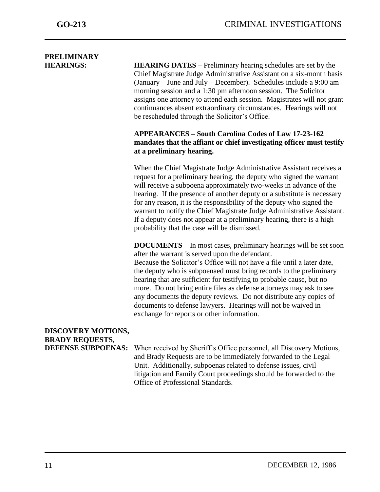# **PRELIMINARY**

**HEARINGS: HEARING DATES** – Preliminary hearing schedules are set by the Chief Magistrate Judge Administrative Assistant on a six-month basis (January – June and July – December). Schedules include a 9:00 am morning session and a 1:30 pm afternoon session. The Solicitor assigns one attorney to attend each session. Magistrates will not grant continuances absent extraordinary circumstances. Hearings will not be rescheduled through the Solicitor's Office.

#### **APPEARANCES – South Carolina Codes of Law 17-23-162 mandates that the affiant or chief investigating officer must testify at a preliminary hearing.**

When the Chief Magistrate Judge Administrative Assistant receives a request for a preliminary hearing, the deputy who signed the warrant will receive a subpoena approximately two-weeks in advance of the hearing. If the presence of another deputy or a substitute is necessary for any reason, it is the responsibility of the deputy who signed the warrant to notify the Chief Magistrate Judge Administrative Assistant. If a deputy does not appear at a preliminary hearing, there is a high probability that the case will be dismissed.

**DOCUMENTS –** In most cases, preliminary hearings will be set soon after the warrant is served upon the defendant. Because the Solicitor's Office will not have a file until a later date, the deputy who is subpoenaed must bring records to the preliminary hearing that are sufficient for testifying to probable cause, but no more. Do not bring entire files as defense attorneys may ask to see any documents the deputy reviews. Do not distribute any copies of documents to defense lawyers. Hearings will not be waived in exchange for reports or other information.

### **DISCOVERY MOTIONS, BRADY REQUESTS, DEFENSE SUBPOENAS:** When received by Sheriff's Office personnel, all Discovery Motions, and Brady Requests are to be immediately forwarded to the Legal Unit. Additionally, subpoenas related to defense issues, civil litigation and Family Court proceedings should be forwarded to the Office of Professional Standards.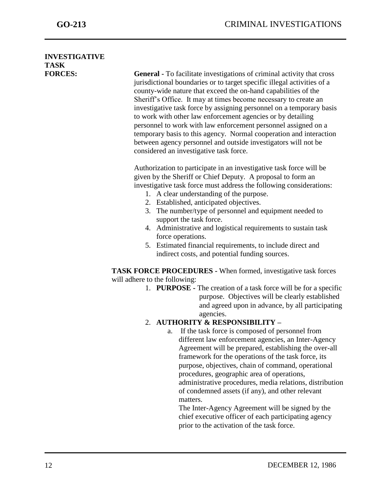### **INVESTIGATIVE TASK**

**FORCES: General -** To facilitate investigations of criminal activity that cross jurisdictional boundaries or to target specific illegal activities of a county-wide nature that exceed the on-hand capabilities of the Sheriff's Office. It may at times become necessary to create an investigative task force by assigning personnel on a temporary basis to work with other law enforcement agencies or by detailing personnel to work with law enforcement personnel assigned on a temporary basis to this agency. Normal cooperation and interaction between agency personnel and outside investigators will not be considered an investigative task force.

> Authorization to participate in an investigative task force will be given by the Sheriff or Chief Deputy. A proposal to form an investigative task force must address the following considerations:

- 1. A clear understanding of the purpose.
- 2. Established, anticipated objectives.
- 3. The number/type of personnel and equipment needed to support the task force.
- 4. Administrative and logistical requirements to sustain task force operations.
- 5. Estimated financial requirements, to include direct and indirect costs, and potential funding sources.

**TASK FORCE PROCEDURES -** When formed, investigative task forces will adhere to the following:

> 1. **PURPOSE -** The creation of a task force will be for a specific purpose. Objectives will be clearly established and agreed upon in advance, by all participating agencies.

#### 2. **AUTHORITY & RESPONSIBILITY –**

a. If the task force is composed of personnel from different law enforcement agencies, an Inter-Agency Agreement will be prepared, establishing the over-all framework for the operations of the task force, its purpose, objectives, chain of command, operational procedures, geographic area of operations, administrative procedures, media relations, distribution of condemned assets (if any), and other relevant matters.

The Inter-Agency Agreement will be signed by the chief executive officer of each participating agency prior to the activation of the task force.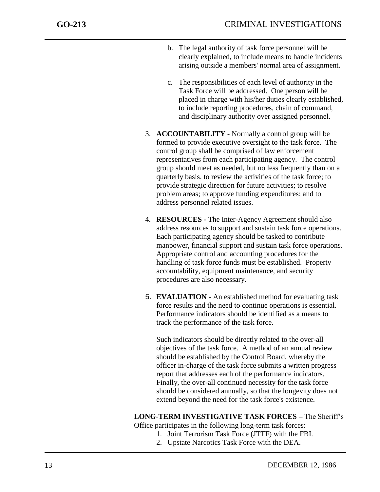- b. The legal authority of task force personnel will be clearly explained, to include means to handle incidents arising outside a members' normal area of assignment.
- c. The responsibilities of each level of authority in the Task Force will be addressed. One person will be placed in charge with his/her duties clearly established, to include reporting procedures, chain of command, and disciplinary authority over assigned personnel.
- 3. **ACCOUNTABILITY -** Normally a control group will be formed to provide executive oversight to the task force. The control group shall be comprised of law enforcement representatives from each participating agency. The control group should meet as needed, but no less frequently than on a quarterly basis, to review the activities of the task force; to provide strategic direction for future activities; to resolve problem areas; to approve funding expenditures; and to address personnel related issues.
- 4. **RESOURCES -** The Inter-Agency Agreement should also address resources to support and sustain task force operations. Each participating agency should be tasked to contribute manpower, financial support and sustain task force operations. Appropriate control and accounting procedures for the handling of task force funds must be established. Property accountability, equipment maintenance, and security procedures are also necessary.
- 5. **EVALUATION -** An established method for evaluating task force results and the need to continue operations is essential. Performance indicators should be identified as a means to track the performance of the task force.

Such indicators should be directly related to the over-all objectives of the task force. A method of an annual review should be established by the Control Board, whereby the officer in-charge of the task force submits a written progress report that addresses each of the performance indicators. Finally, the over-all continued necessity for the task force should be considered annually, so that the longevity does not extend beyond the need for the task force's existence.

**LONG**-**TERM INVESTIGATIVE TASK FORCES –** The Sheriff's

Office participates in the following long-term task forces:

- 1. Joint Terrorism Task Force (JTTF) with the FBI.
- 2. Upstate Narcotics Task Force with the DEA.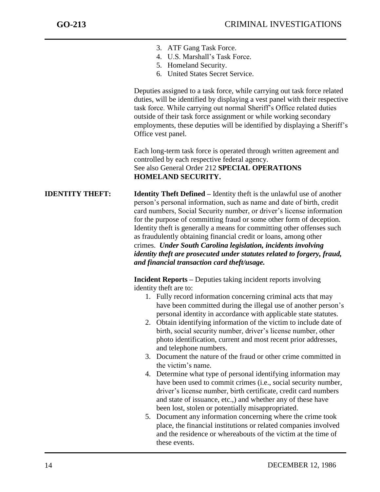- 3. ATF Gang Task Force.
- 4. U.S. Marshall's Task Force.
- 5. Homeland Security.
- 6. United States Secret Service.

Deputies assigned to a task force, while carrying out task force related duties, will be identified by displaying a vest panel with their respective task force. While carrying out normal Sheriff's Office related duties outside of their task force assignment or while working secondary employments, these deputies will be identified by displaying a Sheriff's Office vest panel.

Each long-term task force is operated through written agreement and controlled by each respective federal agency. See also General Order 212 **SPECIAL OPERATIONS HOMELAND SECURITY.**

**IDENTITY THEFT: Identity Theft Defined –** Identity theft is the unlawful use of another person's personal information, such as name and date of birth, credit card numbers, Social Security number, or driver's license information for the purpose of committing fraud or some other form of deception. Identity theft is generally a means for committing other offenses such as fraudulently obtaining financial credit or loans, among other crimes. *Under South Carolina legislation, incidents involving identity theft are prosecuted under statutes related to forgery, fraud, and financial transaction card theft/usage.*

> **Incident Reports –** Deputies taking incident reports involving identity theft are to:

- 1. Fully record information concerning criminal acts that may have been committed during the illegal use of another person's personal identity in accordance with applicable state statutes.
- 2. Obtain identifying information of the victim to include date of birth, social security number, driver's license number, other photo identification, current and most recent prior addresses, and telephone numbers.
- 3. Document the nature of the fraud or other crime committed in the victim's name.
- 4. Determine what type of personal identifying information may have been used to commit crimes (i.e., social security number, driver's license number, birth certificate, credit card numbers and state of issuance, etc.,) and whether any of these have been lost, stolen or potentially misappropriated.
- 5. Document any information concerning where the crime took place, the financial institutions or related companies involved and the residence or whereabouts of the victim at the time of these events.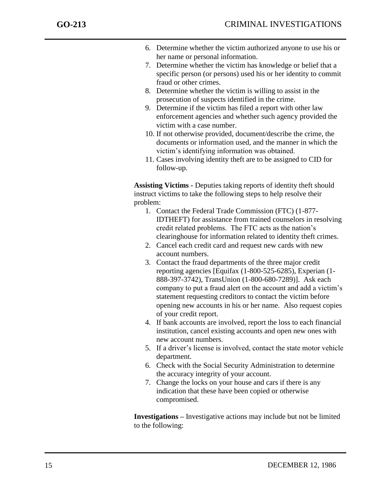- 6. Determine whether the victim authorized anyone to use his or her name or personal information.
- 7. Determine whether the victim has knowledge or belief that a specific person (or persons) used his or her identity to commit fraud or other crimes.
- 8. Determine whether the victim is willing to assist in the prosecution of suspects identified in the crime.
- 9. Determine if the victim has filed a report with other law enforcement agencies and whether such agency provided the victim with a case number.
- 10. If not otherwise provided, document/describe the crime, the documents or information used, and the manner in which the victim's identifying information was obtained.
- 11. Cases involving identity theft are to be assigned to CID for follow-up.

**Assisting Victims -** Deputies taking reports of identity theft should instruct victims to take the following steps to help resolve their problem:

- 1. Contact the Federal Trade Commission (FTC) (1-877- IDTHEFT) for assistance from trained counselors in resolving credit related problems. The FTC acts as the nation's clearinghouse for information related to identity theft crimes.
- 2. Cancel each credit card and request new cards with new account numbers.
- 3. Contact the fraud departments of the three major credit reporting agencies [Equifax (1-800-525-6285), Experian (1- 888-397-3742), TransUnion (1-800-680-7289)]. Ask each company to put a fraud alert on the account and add a victim's statement requesting creditors to contact the victim before opening new accounts in his or her name. Also request copies of your credit report.
- 4. If bank accounts are involved, report the loss to each financial institution, cancel existing accounts and open new ones with new account numbers.
- 5. If a driver's license is involved, contact the state motor vehicle department.
- 6. Check with the Social Security Administration to determine the accuracy integrity of your account.
- 7. Change the locks on your house and cars if there is any indication that these have been copied or otherwise compromised.

**Investigations –** Investigative actions may include but not be limited to the following: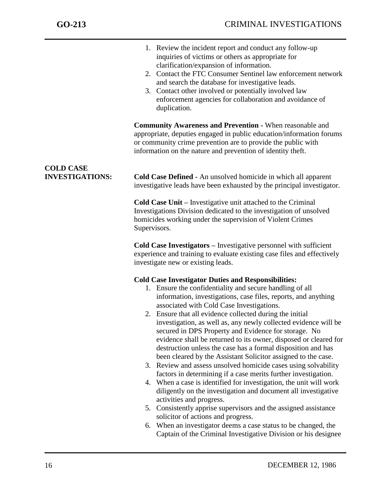|                                            | 1. Review the incident report and conduct any follow-up<br>inquiries of victims or others as appropriate for<br>clarification/expansion of information.<br>2. Contact the FTC Consumer Sentinel law enforcement network<br>and search the database for investigative leads.<br>3. Contact other involved or potentially involved law<br>enforcement agencies for collaboration and avoidance of<br>duplication.                                                                                                                                                                                                                                                                                                                                                                                                                                                                                                                                                                                                                                                                                                                                                                              |
|--------------------------------------------|----------------------------------------------------------------------------------------------------------------------------------------------------------------------------------------------------------------------------------------------------------------------------------------------------------------------------------------------------------------------------------------------------------------------------------------------------------------------------------------------------------------------------------------------------------------------------------------------------------------------------------------------------------------------------------------------------------------------------------------------------------------------------------------------------------------------------------------------------------------------------------------------------------------------------------------------------------------------------------------------------------------------------------------------------------------------------------------------------------------------------------------------------------------------------------------------|
|                                            | <b>Community Awareness and Prevention - When reasonable and</b><br>appropriate, deputies engaged in public education/information forums<br>or community crime prevention are to provide the public with<br>information on the nature and prevention of identity theft.                                                                                                                                                                                                                                                                                                                                                                                                                                                                                                                                                                                                                                                                                                                                                                                                                                                                                                                       |
| <b>COLD CASE</b><br><b>INVESTIGATIONS:</b> | Cold Case Defined - An unsolved homicide in which all apparent<br>investigative leads have been exhausted by the principal investigator.                                                                                                                                                                                                                                                                                                                                                                                                                                                                                                                                                                                                                                                                                                                                                                                                                                                                                                                                                                                                                                                     |
|                                            | <b>Cold Case Unit – Investigative unit attached to the Criminal</b><br>Investigations Division dedicated to the investigation of unsolved<br>homicides working under the supervision of Violent Crimes<br>Supervisors.                                                                                                                                                                                                                                                                                                                                                                                                                                                                                                                                                                                                                                                                                                                                                                                                                                                                                                                                                                       |
|                                            | <b>Cold Case Investigators – Investigative personnel with sufficient</b><br>experience and training to evaluate existing case files and effectively<br>investigate new or existing leads.                                                                                                                                                                                                                                                                                                                                                                                                                                                                                                                                                                                                                                                                                                                                                                                                                                                                                                                                                                                                    |
|                                            | <b>Cold Case Investigator Duties and Responsibilities:</b><br>1. Ensure the confidentiality and secure handling of all<br>information, investigations, case files, reports, and anything<br>associated with Cold Case Investigations.<br>2. Ensure that all evidence collected during the initial<br>investigation, as well as, any newly collected evidence will be<br>secured in DPS Property and Evidence for storage. No<br>evidence shall be returned to its owner, disposed or cleared for<br>destruction unless the case has a formal disposition and has<br>been cleared by the Assistant Solicitor assigned to the case.<br>3. Review and assess unsolved homicide cases using solvability<br>factors in determining if a case merits further investigation.<br>4. When a case is identified for investigation, the unit will work<br>diligently on the investigation and document all investigative<br>activities and progress.<br>Consistently apprise supervisors and the assigned assistance<br>5.<br>solicitor of actions and progress.<br>When an investigator deems a case status to be changed, the<br>6.<br>Captain of the Criminal Investigative Division or his designee |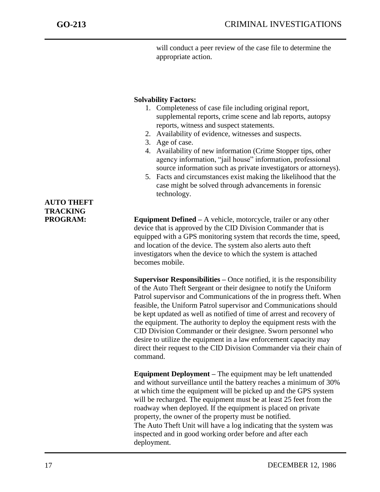will conduct a peer review of the case file to determine the appropriate action.

#### **Solvability Factors:**

- 1. Completeness of case file including original report, supplemental reports, crime scene and lab reports, autopsy reports, witness and suspect statements.
- 2. Availability of evidence, witnesses and suspects.
- 3. Age of case.
- 4. Availability of new information (Crime Stopper tips, other agency information, "jail house" information, professional source information such as private investigators or attorneys).
- 5. Facts and circumstances exist making the likelihood that the case might be solved through advancements in forensic technology.

**PROGRAM: Equipment Defined** – A vehicle, motorcycle, trailer or any other device that is approved by the CID Division Commander that is equipped with a GPS monitoring system that records the time, speed, and location of the device. The system also alerts auto theft investigators when the device to which the system is attached becomes mobile.

> **Supervisor Responsibilities –** Once notified, it is the responsibility of the Auto Theft Sergeant or their designee to notify the Uniform Patrol supervisor and Communications of the in progress theft. When feasible, the Uniform Patrol supervisor and Communications should be kept updated as well as notified of time of arrest and recovery of the equipment. The authority to deploy the equipment rests with the CID Division Commander or their designee. Sworn personnel who desire to utilize the equipment in a law enforcement capacity may direct their request to the CID Division Commander via their chain of command.

**Equipment Deployment –** The equipment may be left unattended and without surveillance until the battery reaches a minimum of 30% at which time the equipment will be picked up and the GPS system will be recharged. The equipment must be at least 25 feet from the roadway when deployed. If the equipment is placed on private property, the owner of the property must be notified. The Auto Theft Unit will have a log indicating that the system was inspected and in good working order before and after each deployment.

### **AUTO THEFT TRACKING**